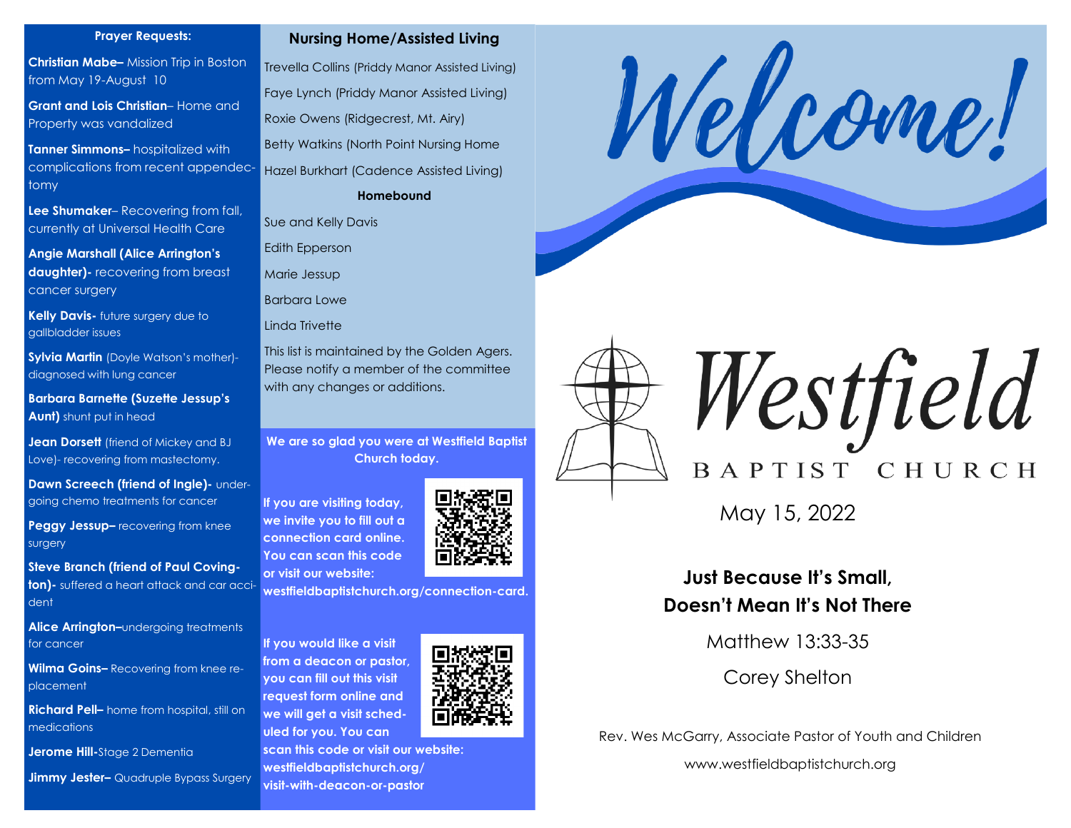#### **Prayer Requests:**

**Christian Mabe–** Mission Trip in Boston from May 19-August 10

**Grant and Lois Christian**– Home and Property was vandalized

**Tanner Simmons–** hospitalized with complications from recent appendectomy

**Lee Shumaker**– Recovering from fall, currently at Universal Health Care

**Angie Marshall (Alice Arrington's daughter)-** recovering from breast cancer surgery

**Kelly Davis-** future surgery due to gallbladder issues

**Sylvia Martin** (Doyle Watson's mother) diagnosed with lung cancer

**Barbara Barnette (Suzette Jessup's Aunt)** shunt put in head

**Jean Dorsett** (friend of Mickey and BJ Love)- recovering from mastectomy.

**Dawn Screech (friend of Ingle)- under**going chemo treatments for cancer

**Peggy Jessup–** recovering from knee surgery

**Steve Branch (friend of Paul Covington)-** suffered a heart attack and car accident

**Alice Arrington–**undergoing treatments for cancer

**Wilma Goins–** Recovering from knee replacement

**Richard Pell–** home from hospital, still on medications

**Jerome Hill-**Stage 2 Dementia

**Jimmy Jester–** Quadruple Bypass Surgery



Trevella Collins (Priddy Manor Assisted Living) Faye Lynch (Priddy Manor Assisted Living) Roxie Owens (Ridgecrest, Mt. Airy) Betty Watkins (North Point Nursing Home Hazel Burkhart (Cadence Assisted Living) **Homebound**

Sue and Kelly Davis

Edith Epperson

Marie Jessup

Barbara Lowe

Linda Trivette

This list is maintained by the Golden Agers. Please notify a member of the committee with any changes or additions.

**We are so glad you were at Westfield Baptist Church today.** 

**If you are visiting today, we invite you to fill out a connection card online. You can scan this code or visit our website:**

**westfieldbaptistchurch.org/connection-card.** 

**If you would like a visit from a deacon or pastor, you can fill out this visit request form online and we will get a visit scheduled for you. You can** 



**scan this code or visit our website: westfieldbaptistchurch.org/ visit-with-deacon-or-pastor**







May 15, 2022

## **Just Because It's Small, Doesn't Mean It's Not There**

Matthew 13:33-35

Corey Shelton

Rev. Wes McGarry, Associate Pastor of Youth and Children

www.westfieldbaptistchurch.org